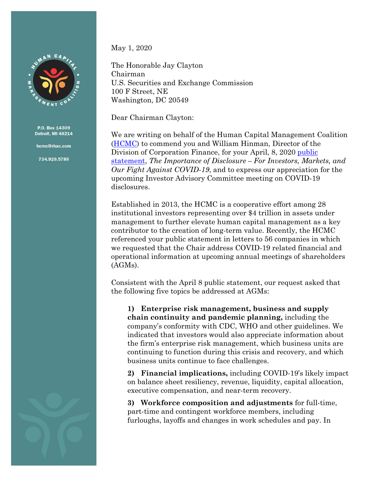

P.O. Box 14309 Detroit, MI 48214

hcmc@rhac.com

734.929.5789

May 1, 2020

The Honorable Jay Clayton Chairman U.S. Securities and Exchange Commission 100 F Street, NE Washington, DC 20549

Dear Chairman Clayton:

We are writing on behalf of the Human Capital Management Coalition [\(HCMC\)](http://uawtrust.org/hcmc) to commend you and William Hinman, Director of the Division of Corporation Finance, for your April, 8, 2020 [public](https://www.sec.gov/news/public-statement/statement-clayton-hinman)  [statement,](https://www.sec.gov/news/public-statement/statement-clayton-hinman) *The Importance of Disclosure – For Investors, Markets, and Our Fight Against COVID-19*, and to express our appreciation for the upcoming Investor Advisory Committee meeting on COVID-19 disclosures.

Established in 2013, the HCMC is a cooperative effort among 28 institutional investors representing over \$4 trillion in assets under management to further elevate human capital management as a key contributor to the creation of long-term value. Recently, the HCMC referenced your public statement in letters to 56 companies in which we requested that the Chair address COVID-19 related financial and operational information at upcoming annual meetings of shareholders (AGMs).

Consistent with the April 8 public statement, our request asked that the following five topics be addressed at AGMs:

**1) Enterprise risk management, business and supply chain continuity and pandemic planning,** including the company's conformity with CDC, WHO and other guidelines. We indicated that investors would also appreciate information about the firm's enterprise risk management, which business units are continuing to function during this crisis and recovery, and which business units continue to face challenges.

**2) Financial implications,** including COVID-19's likely impact on balance sheet resiliency, revenue, liquidity, capital allocation, executive compensation, and near-term recovery.

**3) Workforce composition and adjustments** for full-time, part-time and contingent workforce members, including furloughs, layoffs and changes in work schedules and pay. In

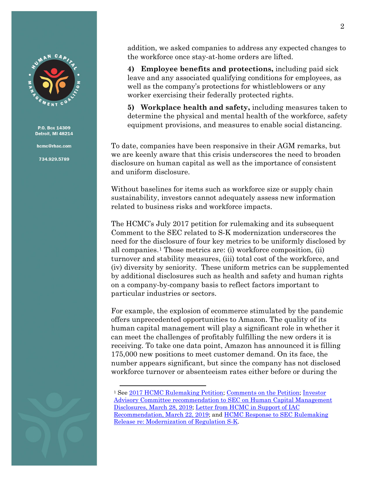

P.O. Box 14309 Detroit, MI 48214

hcmc@rhac.com

734.929.5789

addition, we asked companies to address any expected changes to the workforce once stay-at-home orders are lifted.

**4) Employee benefits and protections,** including paid sick leave and any associated qualifying conditions for employees, as well as the company's protections for whistleblowers or any worker exercising their federally protected rights.

**5) Workplace health and safety,** including measures taken to determine the physical and mental health of the workforce, safety equipment provisions, and measures to enable social distancing.

To date, companies have been responsive in their AGM remarks, but we are keenly aware that this crisis underscores the need to broaden disclosure on human capital as well as the importance of consistent and uniform disclosure.

Without baselines for items such as workforce size or supply chain sustainability, investors cannot adequately assess new information related to business risks and workforce impacts.

The HCMC's July 2017 petition for rulemaking and its subsequent Comment to the SEC related to S-K modernization underscores the need for the disclosure of four key metrics to be uniformly disclosed by all companies.[1](#page-1-0) Those metrics are: (i) workforce composition, (ii) turnover and stability measures, (iii) total cost of the workforce, and (iv) diversity by seniority. These uniform metrics can be supplemented by additional disclosures such as health and safety and human rights on a company-by-company basis to reflect factors important to particular industries or sectors.

For example, the explosion of ecommerce stimulated by the pandemic offers unprecedented opportunities to Amazon. The quality of its human capital management will play a significant role in whether it can meet the challenges of profitably fulfilling the new orders it is receiving. To take one data point, Amazon has announced it is filling 175,000 new positions to meet customer demand. On its face, the number appears significant, but since the company has not disclosed workforce turnover or absenteeism rates either before or during the

<span id="page-1-0"></span><sup>1</sup> See [2017 HCMC Rulemaking Petition;](https://www.sec.gov/rules/petitions/2017/petn4-711.pdf) Comments [on the Petition;](https://www.sec.gov/comments/4-711/4-711.htm) [Investor](https://www.sec.gov/spotlight/investor-advisory-committee-2012/human-capital-disclosure-recommendation.pdf)  [Advisory Committee recommendation](https://www.sec.gov/spotlight/investor-advisory-committee-2012/human-capital-disclosure-recommendation.pdf) to SEC on Human Capital Management [Disclosures, March 28, 2019;](https://www.sec.gov/spotlight/investor-advisory-committee-2012/human-capital-disclosure-recommendation.pdf) [Letter from HCMC in Support of IAC](https://www.sec.gov/comments/265-28/26528-5180975-183539.pdf)  [Recommendation, March 22, 2019;](https://www.sec.gov/comments/265-28/26528-5180975-183539.pdf) and [HCMC Response to SEC Rulemaking](https://www.sec.gov/comments/s7-11-19/s71119-6322887-194462.pdf)  [Release re: Modernization of Regulation S-K.](https://www.sec.gov/comments/s7-11-19/s71119-6322887-194462.pdf)